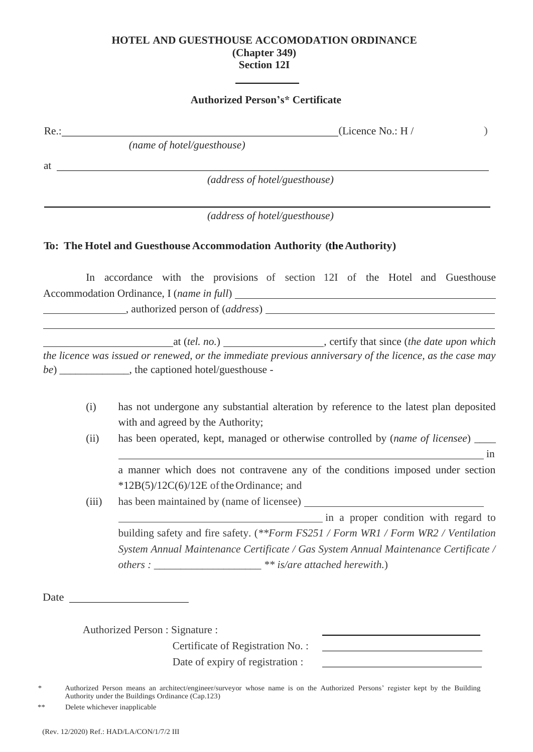## **HOTEL AND GUESTHOUSE ACCOMODATION ORDINANCE (Chapter 349) Section 12I**

## **Authorized Person's\* Certificate**

|                               |       | (Licence No.: $H/$<br>(name of hotel/guesthouse)                                                                                                                                                                                                                                                                   |  |  |
|-------------------------------|-------|--------------------------------------------------------------------------------------------------------------------------------------------------------------------------------------------------------------------------------------------------------------------------------------------------------------------|--|--|
|                               |       |                                                                                                                                                                                                                                                                                                                    |  |  |
| at                            |       |                                                                                                                                                                                                                                                                                                                    |  |  |
|                               |       | (address of hotel/guesthouse)                                                                                                                                                                                                                                                                                      |  |  |
| (address of hotel/guesthouse) |       |                                                                                                                                                                                                                                                                                                                    |  |  |
|                               |       | To: The Hotel and Guesthouse Accommodation Authority (the Authority)                                                                                                                                                                                                                                               |  |  |
|                               |       | In accordance with the provisions of section 12I of the Hotel and Guesthouse                                                                                                                                                                                                                                       |  |  |
|                               |       |                                                                                                                                                                                                                                                                                                                    |  |  |
|                               |       |                                                                                                                                                                                                                                                                                                                    |  |  |
|                               |       |                                                                                                                                                                                                                                                                                                                    |  |  |
|                               |       | the licence was issued or renewed, or the immediate previous anniversary of the licence, as the case may                                                                                                                                                                                                           |  |  |
|                               |       | be) ______________, the captioned hotel/guesthouse -                                                                                                                                                                                                                                                               |  |  |
|                               |       |                                                                                                                                                                                                                                                                                                                    |  |  |
|                               | (i)   | has not undergone any substantial alteration by reference to the latest plan deposited                                                                                                                                                                                                                             |  |  |
|                               |       | with and agreed by the Authority;                                                                                                                                                                                                                                                                                  |  |  |
|                               | (ii)  | has been operated, kept, managed or otherwise controlled by (name of licensee) ____                                                                                                                                                                                                                                |  |  |
|                               |       |                                                                                                                                                                                                                                                                                                                    |  |  |
|                               |       |                                                                                                                                                                                                                                                                                                                    |  |  |
|                               |       |                                                                                                                                                                                                                                                                                                                    |  |  |
|                               |       | $*12B(5)/12C(6)/12E$ of the Ordinance; and                                                                                                                                                                                                                                                                         |  |  |
|                               | (iii) | $\overline{\phantom{a}}$ in<br>a manner which does not contravene any of the conditions imposed under section                                                                                                                                                                                                      |  |  |
|                               |       |                                                                                                                                                                                                                                                                                                                    |  |  |
|                               |       |                                                                                                                                                                                                                                                                                                                    |  |  |
|                               |       | in a proper condition with regard to<br>building safety and fire safety. (**Form FS251 / Form WR1 / Form WR2 / Ventilation<br>System Annual Maintenance Certificate / Gas System Annual Maintenance Certificate /                                                                                                  |  |  |
|                               |       | others : $\frac{1}{1}$ $\frac{1}{1}$ $\frac{1}{1}$ $\frac{1}{1}$ $\frac{1}{1}$ $\frac{1}{1}$ $\frac{1}{1}$ $\frac{1}{1}$ $\frac{1}{1}$ $\frac{1}{1}$ $\frac{1}{1}$ $\frac{1}{1}$ $\frac{1}{1}$ $\frac{1}{1}$ $\frac{1}{1}$ $\frac{1}{1}$ $\frac{1}{1}$ $\frac{1}{1}$ $\frac{1}{1}$ $\frac{1}{1}$ $\frac{1}{1}$ $\$ |  |  |
| Date                          |       |                                                                                                                                                                                                                                                                                                                    |  |  |
|                               |       | <u> 1980 - John Stein, mars and de Brandenberg (b. 1980)</u>                                                                                                                                                                                                                                                       |  |  |
|                               |       |                                                                                                                                                                                                                                                                                                                    |  |  |
|                               |       | Authorized Person : Signature :                                                                                                                                                                                                                                                                                    |  |  |
|                               |       | Certificate of Registration No.:<br>Date of expiry of registration :<br><u> 1980 - Johann Barbara, martin d</u>                                                                                                                                                                                                    |  |  |

\*\* Delete whichever inapplicable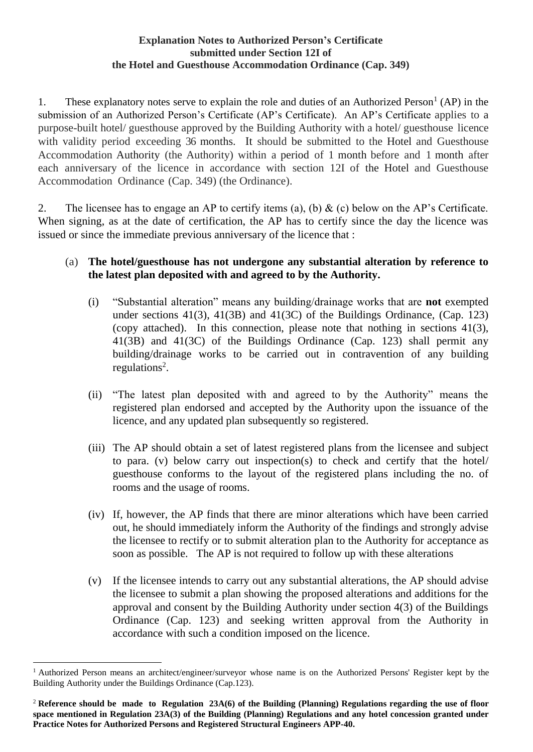## **Explanation Notes to Authorized Person's Certificate submitted under Section 12I of the Hotel and Guesthouse Accommodation Ordinance (Cap. 349)**

1. These explanatory notes serve to explain the role and duties of an Authorized Person<sup>1</sup> (AP) in the submission of an Authorized Person's Certificate (AP's Certificate). An AP's Certificate applies to a purpose-built hotel/ guesthouse approved by the Building Authority with a hotel/ guesthouse licence with validity period exceeding 36 months. It should be submitted to the Hotel and Guesthouse Accommodation Authority (the Authority) within a period of 1 month before and 1 month after each anniversary of the licence in accordance with section 12I of the Hotel and Guesthouse Accommodation Ordinance (Cap. 349) (the Ordinance).

2. The licensee has to engage an AP to certify items (a), (b)  $\&$  (c) below on the AP's Certificate. When signing, as at the date of certification, the AP has to certify since the day the licence was issued or since the immediate previous anniversary of the licence that :

# (a) **The hotel/guesthouse has not undergone any substantial alteration by reference to the latest plan deposited with and agreed to by the Authority.**

- (i) "Substantial alteration" means any building/drainage works that are **not** exempted under sections 41(3), 41(3B) and 41(3C) of the Buildings Ordinance, (Cap. 123) (copy attached). In this connection, please note that nothing in sections 41(3), 41(3B) and 41(3C) of the Buildings Ordinance (Cap. 123) shall permit any building/drainage works to be carried out in contravention of any building regulations 2 .
- (ii) "The latest plan deposited with and agreed to by the Authority" means the registered plan endorsed and accepted by the Authority upon the issuance of the licence, and any updated plan subsequently so registered.
- (iii) The AP should obtain a set of latest registered plans from the licensee and subject to para. (v) below carry out inspection(s) to check and certify that the hotel/ guesthouse conforms to the layout of the registered plans including the no. of rooms and the usage of rooms.
- (iv) If, however, the AP finds that there are minor alterations which have been carried out, he should immediately inform the Authority of the findings and strongly advise the licensee to rectify or to submit alteration plan to the Authority for acceptance as soon as possible. The AP is not required to follow up with these alterations
- (v) If the licensee intends to carry out any substantial alterations, the AP should advise the licensee to submit a plan showing the proposed alterations and additions for the approval and consent by the Building Authority under section 4(3) of the Buildings Ordinance (Cap. 123) and seeking written approval from the Authority in accordance with such a condition imposed on the licence.

 $\overline{a}$ 

<sup>&</sup>lt;sup>1</sup> Authorized Person means an architect/engineer/surveyor whose name is on the Authorized Persons' Register kept by the Building Authority under the Buildings Ordinance (Cap.123).

<sup>2</sup> **Reference should be made to Regulation 23A(6) of the Building (Planning) Regulations regarding the use of floor space mentioned in Regulation 23A(3) of the Building (Planning) Regulations and any hotel concession granted under Practice Notes for Authorized Persons and Registered Structural Engineers APP-40.**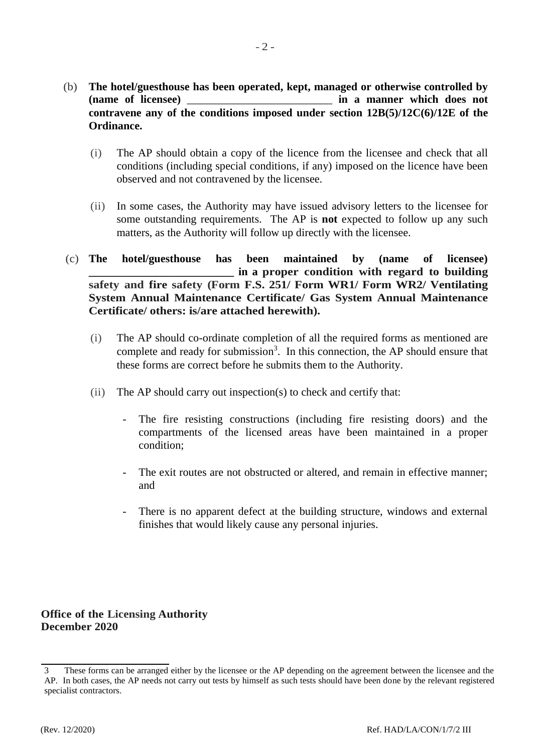- (b) **The hotel/guesthouse has been operated, kept, managed or otherwise controlled by (name of licensee)** \_\_\_\_\_\_\_\_\_\_\_\_\_\_\_\_\_\_\_\_\_\_\_\_\_\_ **in a manner which does not contravene any of the conditions imposed under section 12B(5)/12C(6)/12E of the Ordinance.**
	- (i) The AP should obtain a copy of the licence from the licensee and check that all conditions (including special conditions, if any) imposed on the licence have been observed and not contravened by the licensee.
	- (ii) In some cases, the Authority may have issued advisory letters to the licensee for some outstanding requirements. The AP is **not** expected to follow up any such matters, as the Authority will follow up directly with the licensee.
- (c) **The hotel/guesthouse has been maintained by (name of licensee) \_\_\_\_\_\_\_\_\_\_\_\_\_\_\_\_\_\_\_\_\_\_\_\_\_\_ in a proper condition with regard to building safety and fire safety (Form F.S. 251/ Form WR1/ Form WR2/ Ventilating System Annual Maintenance Certificate/ Gas System Annual Maintenance Certificate/ others: is/are attached herewith).**
	- (i) The AP should co-ordinate completion of all the required forms as mentioned are complete and ready for submission<sup>3</sup>. In this connection, the AP should ensure that these forms are correct before he submits them to the Authority.
	- (ii) The AP should carry out inspection(s) to check and certify that:
		- The fire resisting constructions (including fire resisting doors) and the compartments of the licensed areas have been maintained in a proper condition;
		- The exit routes are not obstructed or altered, and remain in effective manner; and
		- There is no apparent defect at the building structure, windows and external finishes that would likely cause any personal injuries.

**Office of the Licensing Authority December 2020**

<sup>3</sup> These forms can be arranged either by the licensee or the AP depending on the agreement between the licensee and the AP. In both cases, the AP needs not carry out tests by himself as such tests should have been done by the relevant registered specialist contractors.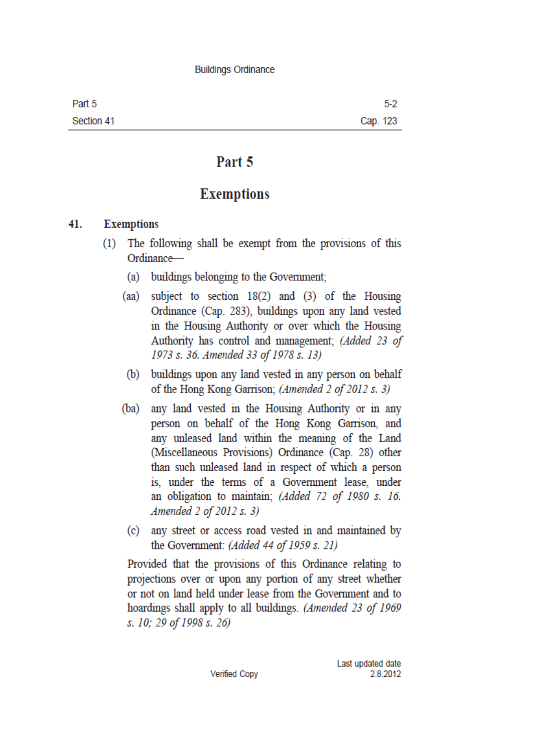#### **Buildings Ordinance**

| Part 5     | $5-2$    |
|------------|----------|
| Section 41 | Cap. 123 |

# Part 5

# **Exemptions**

#### 41. **Exemptions**

- The following shall be exempt from the provisions of this  $(1)$ Ordinance
	- buildings belonging to the Government;  $(a)$
	- subject to section  $18(2)$  and  $(3)$  of the Housing  $(aa)$ Ordinance (Cap. 283), buildings upon any land vested in the Housing Authority or over which the Housing Authority has control and management; (Added 23 of 1973 s. 36. Amended 33 of 1978 s. 13)
	- (b) buildings upon any land vested in any person on behalf of the Hong Kong Garrison; (Amended 2 of 2012 s. 3)
	- (ba) any land vested in the Housing Authority or in any person on behalf of the Hong Kong Garrison, and any unleased land within the meaning of the Land (Miscellaneous Provisions) Ordinance (Cap. 28) other than such unleased land in respect of which a person is, under the terms of a Government lease, under an obligation to maintain; (Added 72 of 1980 s. 16. Amended 2 of 2012 s. 3)
	- (c) any street or access road vested in and maintained by the Government: (Added 44 of 1959 s. 21)

Provided that the provisions of this Ordinance relating to projections over or upon any portion of any street whether or not on land held under lease from the Government and to hoardings shall apply to all buildings. (Amended 23 of 1969 s. 10; 29 of 1998 s. 26)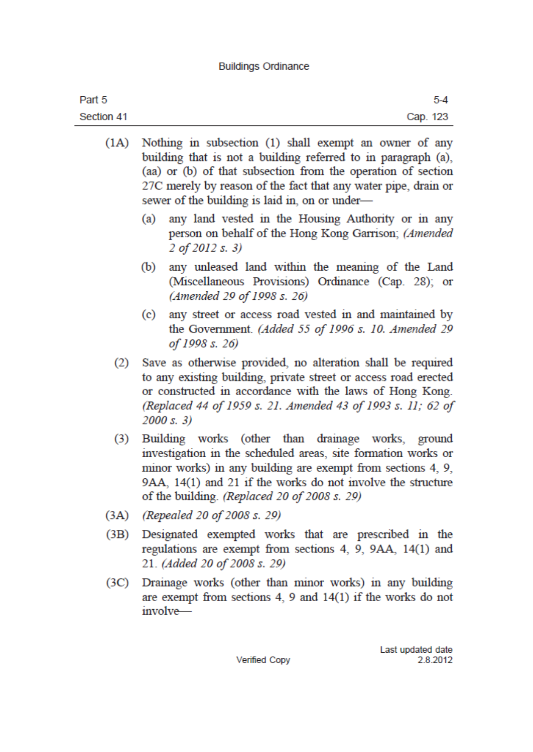## **Buildings Ordinance**

| Part 5     | $5 - 4$  |
|------------|----------|
| Section 41 | Cap. 123 |

- $(1A)$ Nothing in subsection (1) shall exempt an owner of any building that is not a building referred to in paragraph (a). (aa) or (b) of that subsection from the operation of section 27C merely by reason of the fact that any water pipe, drain or sewer of the building is laid in, on or under-
	- (a) any land vested in the Housing Authority or in any person on behalf of the Hong Kong Garrison; (Amended 2 of 2012 s. 3)
	- (b) any unleased land within the meaning of the Land (Miscellaneous Provisions) Ordinance (Cap. 28); or (Amended 29 of 1998 s. 26)
	- (c) any street or access road vested in and maintained by the Government. (Added 55 of 1996 s. 10. Amended 29 of 1998 s. 26)
	- Save as otherwise provided, no alteration shall be required  $(2)$ to any existing building, private street or access road erected or constructed in accordance with the laws of Hong Kong. (Replaced 44 of 1959 s. 21. Amended 43 of 1993 s. 11; 62 of  $2000 s. 3)$
	- $(3)$ Building works (other than drainage works, ground investigation in the scheduled areas, site formation works or minor works) in any building are exempt from sections 4, 9, 9AA, 14(1) and 21 if the works do not involve the structure of the building. (Replaced 20 of 2008 s. 29)
- (Repealed 20 of 2008 s. 29)  $(3A)$
- Designated exempted works that are prescribed in the  $(3B)$ regulations are exempt from sections 4, 9, 9AA, 14(1) and 21. (Added 20 of 2008 s. 29)
- $(3C)$ Drainage works (other than minor works) in any building are exempt from sections  $4$ ,  $9$  and  $14(1)$  if the works do not involve—

**Verified Copy**